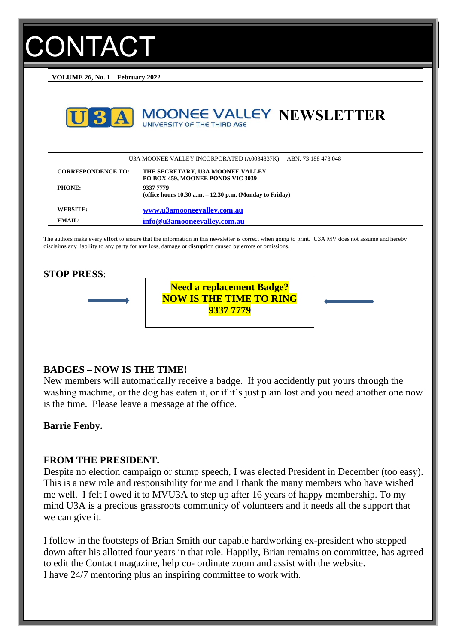# **ONTACT**

**VOLUME 26, No. 1 February 2022**



The authors make every effort to ensure that the information in this newsletter is correct when going to print. U3A MV does not assume and hereby disclaims any liability to any party for any loss, damage or disruption caused by errors or omissions.

#### **STOP PRESS**:



**Need a replacement Badge? NOW IS THE TIME TO RING NOW IS THE TIME TO RING 93337 7779 9337 7779Need a replacement Badge?**

#### **BADGES – NOW IS THE TIME!**

New members will automatically receive a badge. If you accidently put yours through the washing machine, or the dog has eaten it, or if it's just plain lost and you need another one now is the time. Please leave a message at the office.

#### **Barrie Fenby.**

#### **FROM THE PRESIDENT.**

Despite no election campaign or stump speech, I was elected President in December (too easy). This is a new role and responsibility for me and I thank the many members who have wished me well. I felt I owed it to MVU3A to step up after 16 years of happy membership. To my mind U3A is a precious grassroots community of volunteers and it needs all the support that we can give it.

I follow in the footsteps of Brian Smith our capable hardworking ex-president who stepped down after his allotted four years in that role. Happily, Brian remains on committee, has agreed to edit the Contact magazine, help co- ordinate zoom and assist with the website. I have 24/7 mentoring plus an inspiring committee to work with.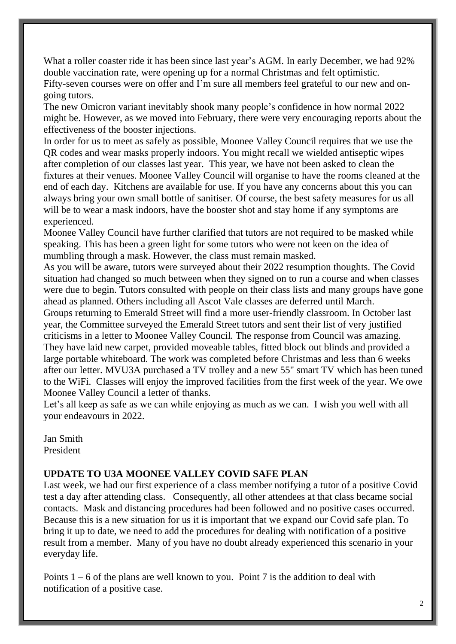What a roller coaster ride it has been since last year's AGM. In early December, we had 92% double vaccination rate, were opening up for a normal Christmas and felt optimistic. Fifty-seven courses were on offer and I'm sure all members feel grateful to our new and ongoing tutors.

The new Omicron variant inevitably shook many people's confidence in how normal 2022 might be. However, as we moved into February, there were very encouraging reports about the effectiveness of the booster injections.

In order for us to meet as safely as possible, Moonee Valley Council requires that we use the QR codes and wear masks properly indoors. You might recall we wielded antiseptic wipes after completion of our classes last year. This year, we have not been asked to clean the fixtures at their venues. Moonee Valley Council will organise to have the rooms cleaned at the end of each day. Kitchens are available for use. If you have any concerns about this you can always bring your own small bottle of sanitiser. Of course, the best safety measures for us all will be to wear a mask indoors, have the booster shot and stay home if any symptoms are experienced.

Moonee Valley Council have further clarified that tutors are not required to be masked while speaking. This has been a green light for some tutors who were not keen on the idea of mumbling through a mask. However, the class must remain masked.

As you will be aware, tutors were surveyed about their 2022 resumption thoughts. The Covid situation had changed so much between when they signed on to run a course and when classes were due to begin. Tutors consulted with people on their class lists and many groups have gone ahead as planned. Others including all Ascot Vale classes are deferred until March.

Groups returning to Emerald Street will find a more user-friendly classroom. In October last year, the Committee surveyed the Emerald Street tutors and sent their list of very justified criticisms in a letter to Moonee Valley Council. The response from Council was amazing. They have laid new carpet, provided moveable tables, fitted block out blinds and provided a large portable whiteboard. The work was completed before Christmas and less than 6 weeks after our letter. MVU3A purchased a TV trolley and a new 55" smart TV which has been tuned to the WiFi. Classes will enjoy the improved facilities from the first week of the year. We owe Moonee Valley Council a letter of thanks.

Let's all keep as safe as we can while enjoying as much as we can. I wish you well with all your endeavours in 2022.

Jan Smith President

# **UPDATE TO U3A MOONEE VALLEY COVID SAFE PLAN**

Last week, we had our first experience of a class member notifying a tutor of a positive Covid test a day after attending class. Consequently, all other attendees at that class became social contacts. Mask and distancing procedures had been followed and no positive cases occurred. Because this is a new situation for us it is important that we expand our Covid safe plan. To bring it up to date, we need to add the procedures for dealing with notification of a positive result from a member. Many of you have no doubt already experienced this scenario in your everyday life.

Points  $1 - 6$  of the plans are well known to you. Point 7 is the addition to deal with notification of a positive case.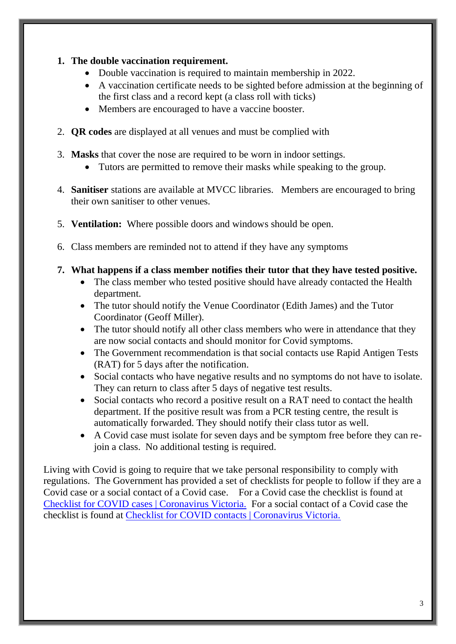- **1. The double vaccination requirement.** 
	- Double vaccination is required to maintain membership in 2022.
	- A vaccination certificate needs to be sighted before admission at the beginning of the first class and a record kept (a class roll with ticks)
	- Members are encouraged to have a vaccine booster.
- 2. **QR codes** are displayed at all venues and must be complied with
- 3. **Masks** that cover the nose are required to be worn in indoor settings.
	- Tutors are permitted to remove their masks while speaking to the group.
- 4. **Sanitiser** stations are available at MVCC libraries. Members are encouraged to bring their own sanitiser to other venues.
- 5. **Ventilation:** Where possible doors and windows should be open.
- 6. Class members are reminded not to attend if they have any symptoms
- **7. What happens if a class member notifies their tutor that they have tested positive.**
	- The class member who tested positive should have already contacted the Health department.
	- The tutor should notify the Venue Coordinator (Edith James) and the Tutor Coordinator (Geoff Miller).
	- The tutor should notify all other class members who were in attendance that they are now social contacts and should monitor for Covid symptoms.
	- The Government recommendation is that social contacts use Rapid Antigen Tests (RAT) for 5 days after the notification.
	- Social contacts who have negative results and no symptoms do not have to isolate. They can return to class after 5 days of negative test results.
	- Social contacts who record a positive result on a RAT need to contact the health department. If the positive result was from a PCR testing centre, the result is automatically forwarded. They should notify their class tutor as well.
	- A Covid case must isolate for seven days and be symptom free before they can rejoin a class. No additional testing is required.

Living with Covid is going to require that we take personal responsibility to comply with regulations. The Government has provided a set of checklists for people to follow if they are a Covid case or a social contact of a Covid case. For a Covid case the checklist is found at [Checklist for COVID cases | Coronavirus Victoria.](https://www.coronavirus.vic.gov.au/checklist-cases) For a social contact of a Covid case the checklist is found at [Checklist for COVID contacts | Coronavirus Victoria.](https://www.coronavirus.vic.gov.au/checklist-contacts)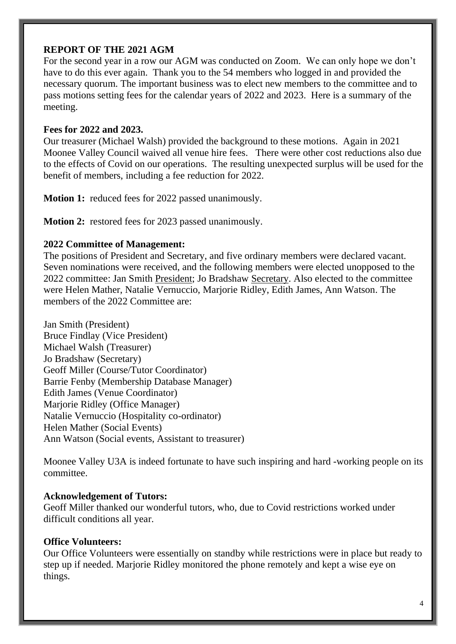#### **REPORT OF THE 2021 AGM**

For the second year in a row our AGM was conducted on Zoom. We can only hope we don't have to do this ever again. Thank you to the 54 members who logged in and provided the necessary quorum. The important business was to elect new members to the committee and to pass motions setting fees for the calendar years of 2022 and 2023. Here is a summary of the meeting.

#### **Fees for 2022 and 2023.**

Our treasurer (Michael Walsh) provided the background to these motions. Again in 2021 Moonee Valley Council waived all venue hire fees. There were other cost reductions also due to the effects of Covid on our operations. The resulting unexpected surplus will be used for the benefit of members, including a fee reduction for 2022.

**Motion 1:** reduced fees for 2022 passed unanimously.

**Motion 2:** restored fees for 2023 passed unanimously.

### **2022 Committee of Management:**

The positions of President and Secretary, and five ordinary members were declared vacant. Seven nominations were received, and the following members were elected unopposed to the 2022 committee: Jan Smith President; Jo Bradshaw Secretary. Also elected to the committee were Helen Mather, Natalie Vernuccio, Marjorie Ridley, Edith James, Ann Watson. The members of the 2022 Committee are:

Jan Smith (President) Bruce Findlay (Vice President) Michael Walsh (Treasurer) Jo Bradshaw (Secretary) Geoff Miller (Course/Tutor Coordinator) Barrie Fenby (Membership Database Manager) Edith James (Venue Coordinator) Marjorie Ridley (Office Manager) Natalie Vernuccio (Hospitality co-ordinator) Helen Mather (Social Events) Ann Watson (Social events, Assistant to treasurer)

Moonee Valley U3A is indeed fortunate to have such inspiring and hard -working people on its committee.

#### **Acknowledgement of Tutors:**

Geoff Miller thanked our wonderful tutors, who, due to Covid restrictions worked under difficult conditions all year.

### **Office Volunteers:**

Our Office Volunteers were essentially on standby while restrictions were in place but ready to step up if needed. Marjorie Ridley monitored the phone remotely and kept a wise eye on things.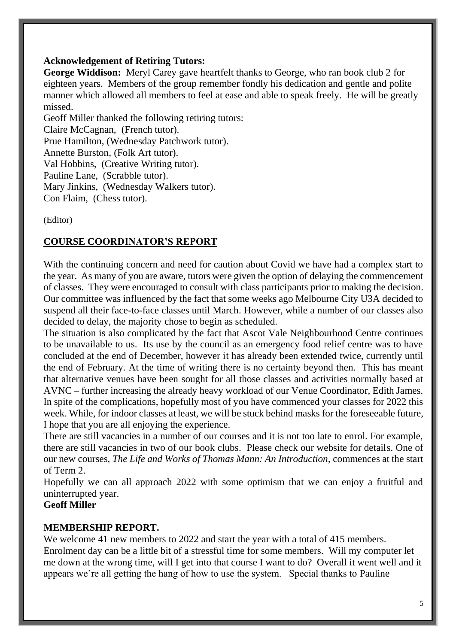#### **Acknowledgement of Retiring Tutors:**

**George Widdison:** Meryl Carey gave heartfelt thanks to George, who ran book club 2 for eighteen years. Members of the group remember fondly his dedication and gentle and polite manner which allowed all members to feel at ease and able to speak freely. He will be greatly missed.

Geoff Miller thanked the following retiring tutors: Claire McCagnan, (French tutor). Prue Hamilton, (Wednesday Patchwork tutor). Annette Burston, (Folk Art tutor). Val Hobbins, (Creative Writing tutor). Pauline Lane, (Scrabble tutor). Mary Jinkins, (Wednesday Walkers tutor). Con Flaim, (Chess tutor).

(Editor)

### **COURSE COORDINATOR'S REPORT**

With the continuing concern and need for caution about Covid we have had a complex start to the year. As many of you are aware, tutors were given the option of delaying the commencement of classes. They were encouraged to consult with class participants prior to making the decision. Our committee was influenced by the fact that some weeks ago Melbourne City U3A decided to suspend all their face-to-face classes until March. However, while a number of our classes also decided to delay, the majority chose to begin as scheduled.

The situation is also complicated by the fact that Ascot Vale Neighbourhood Centre continues to be unavailable to us. Its use by the council as an emergency food relief centre was to have concluded at the end of December, however it has already been extended twice, currently until the end of February. At the time of writing there is no certainty beyond then. This has meant that alternative venues have been sought for all those classes and activities normally based at AVNC – further increasing the already heavy workload of our Venue Coordinator, Edith James. In spite of the complications, hopefully most of you have commenced your classes for 2022 this week. While, for indoor classes at least, we will be stuck behind masks for the foreseeable future, I hope that you are all enjoying the experience.

There are still vacancies in a number of our courses and it is not too late to enrol. For example, there are still vacancies in two of our book clubs. Please check our website for details. One of our new courses, *The Life and Works of Thomas Mann: An Introduction,* commences at the start of Term 2.

Hopefully we can all approach 2022 with some optimism that we can enjoy a fruitful and uninterrupted year.

**Geoff Miller**

### **MEMBERSHIP REPORT.**

We welcome 41 new members to 2022 and start the year with a total of 415 members. Enrolment day can be a little bit of a stressful time for some members. Will my computer let me down at the wrong time, will I get into that course I want to do? Overall it went well and it appears we're all getting the hang of how to use the system. Special thanks to Pauline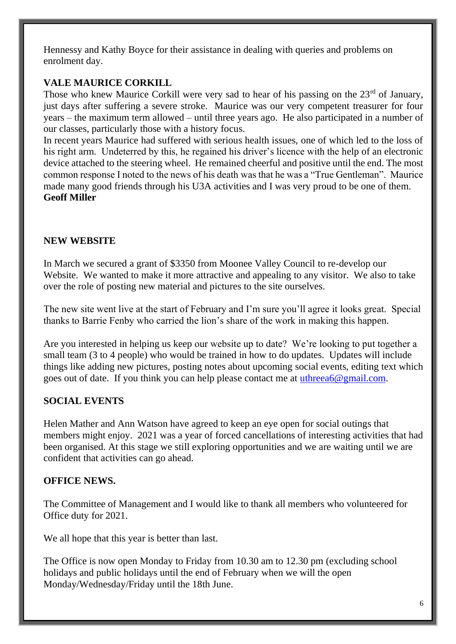Hennessy and Kathy Boyce for their assistance in dealing with queries and problems on enrolment day.

# **VALE MAURICE CORKILL**

Those who knew Maurice Corkill were very sad to hear of his passing on the  $23<sup>rd</sup>$  of January, just days after suffering a severe stroke. Maurice was our very competent treasurer for four years – the maximum term allowed – until three years ago. He also participated in a number of our classes, particularly those with a history focus.

In recent years Maurice had suffered with serious health issues, one of which led to the loss of his right arm. Undeterred by this, he regained his driver's licence with the help of an electronic device attached to the steering wheel. He remained cheerful and positive until the end. The most common response I noted to the news of his death was that he was a "True Gentleman". Maurice made many good friends through his U3A activities and I was very proud to be one of them. **Geoff Miller**

### **NEW WEBSITE**

In March we secured a grant of \$3350 from Moonee Valley Council to re-develop our Website. We wanted to make it more attractive and appealing to any visitor. We also to take over the role of posting new material and pictures to the site ourselves.

The new site went live at the start of February and I'm sure you'll agree it looks great. Special thanks to Barrie Fenby who carried the lion's share of the work in making this happen.

Are you interested in helping us keep our website up to date? We're looking to put together a small team (3 to 4 people) who would be trained in how to do updates. Updates will include things like adding new pictures, posting notes about upcoming social events, editing text which goes out of date. If you think you can help please contact me at [uthreea6@gmail.com.](mailto:uthreea6@gmail.com)

# **SOCIAL EVENTS**

Helen Mather and Ann Watson have agreed to keep an eye open for social outings that members might enjoy. 2021 was a year of forced cancellations of interesting activities that had been organised. At this stage we still exploring opportunities and we are waiting until we are confident that activities can go ahead.

# **OFFICE NEWS.**

The Committee of Management and I would like to thank all members who volunteered for Office duty for 2021.

We all hope that this year is better than last.

The Office is now open Monday to Friday from 10.30 am to 12.30 pm (excluding school holidays and public holidays until the end of February when we will the open Monday/Wednesday/Friday until the 18th June.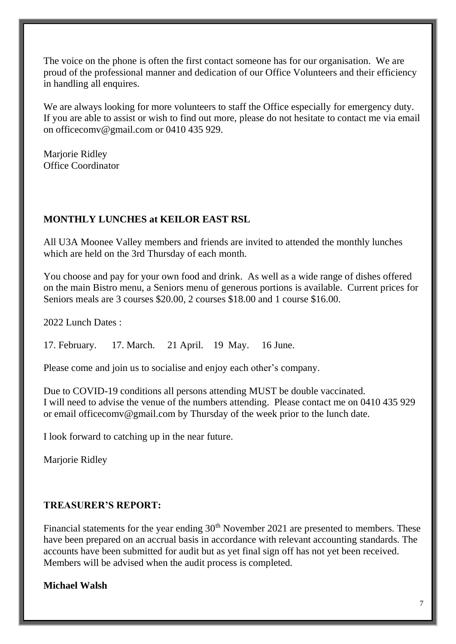The voice on the phone is often the first contact someone has for our organisation. We are proud of the professional manner and dedication of our Office Volunteers and their efficiency in handling all enquires.

We are always looking for more volunteers to staff the Office especially for emergency duty. If you are able to assist or wish to find out more, please do not hesitate to contact me via email on [officecomv@gmail.com](mailto:officecomv@gmail.com) or 0410 435 929.

Marjorie Ridley Office Coordinator

# **MONTHLY LUNCHES at KEILOR EAST RSL**

All U3A Moonee Valley members and friends are invited to attended the monthly lunches which are held on the 3rd Thursday of each month.

You choose and pay for your own food and drink. As well as a wide range of dishes offered on the main Bistro menu, a Seniors menu of generous portions is available. Current prices for Seniors meals are 3 courses \$20.00, 2 courses \$18.00 and 1 course \$16.00.

2022 Lunch Dates :

17. February. 17. March. 21 April. 19 May. 16 June.

Please come and join us to socialise and enjoy each other's company.

Due to COVID-19 conditions all persons attending MUST be double vaccinated. I will need to advise the venue of the numbers attending. Please contact me on 0410 435 929 or email officecomv@gmail.com by Thursday of the week prior to the lunch date.

I look forward to catching up in the near future.

Marjorie Ridley

### **TREASURER'S REPORT:**

Financial statements for the year ending  $30<sup>th</sup>$  November 2021 are presented to members. These have been prepared on an accrual basis in accordance with relevant accounting standards. The accounts have been submitted for audit but as yet final sign off has not yet been received. Members will be advised when the audit process is completed.

**Michael Walsh**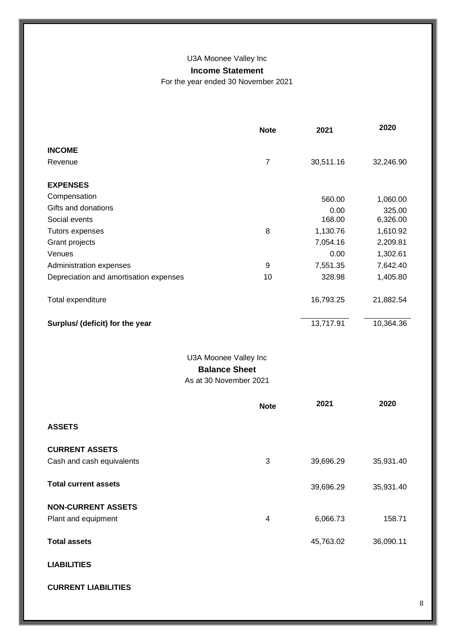## U3A Moonee Valley Inc **Income Statement** For the year ended 30 November 2021

|                                        | <b>Note</b>    | 2021      | 2020      |
|----------------------------------------|----------------|-----------|-----------|
| <b>INCOME</b>                          |                |           |           |
| Revenue                                | $\overline{7}$ | 30,511.16 | 32,246.90 |
| <b>EXPENSES</b>                        |                |           |           |
| Compensation                           |                | 560.00    | 1,060.00  |
| Gifts and donations                    |                | 0.00      | 325.00    |
| Social events                          |                | 168.00    | 6,326.00  |
| Tutors expenses                        | 8              | 1,130.76  | 1,610.92  |
| Grant projects                         |                | 7,054.16  | 2,209.81  |
| Venues                                 |                | 0.00      | 1,302.61  |
| Administration expenses                | 9              | 7,551.35  | 7,642.40  |
| Depreciation and amortisation expenses | 10             | 328.98    | 1,405.80  |
| Total expenditure                      |                | 16,793.25 | 21,882.54 |
| Surplus/ (deficit) for the year        |                | 13,717.91 | 10,364.36 |
|                                        |                |           |           |
| U3A Moonee Valley Inc                  |                |           |           |
| <b>Balance Sheet</b>                   |                |           |           |
| As at 30 November 2021                 |                |           |           |
|                                        | <b>Note</b>    | 2021      | 2020      |
| <b>ASSETS</b>                          |                |           |           |
| <b>CURRENT ASSETS</b>                  |                |           |           |
| Cash and cash equivalents              | 3              | 39,696.29 | 35,931.40 |
| <b>Total current assets</b>            |                | 39,696.29 | 35,931.40 |
| <b>NON-CURRENT ASSETS</b>              |                |           |           |
| Plant and equipment                    | 4              | 6,066.73  | 158.71    |
| <b>Total assets</b>                    |                | 45,763.02 | 36,090.11 |
| <b>LIABILITIES</b>                     |                |           |           |
| <b>CURRENT LIABILITIES</b>             |                |           |           |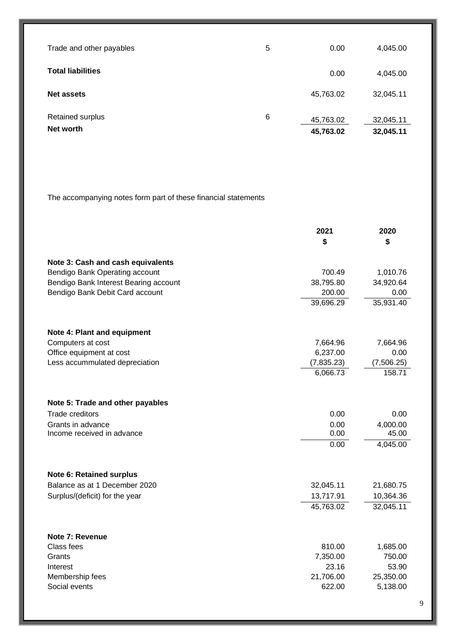| Trade and other payables      | 5 | 0.00                   | 4,045.00               |
|-------------------------------|---|------------------------|------------------------|
| <b>Total liabilities</b>      |   | 0.00                   | 4,045.00               |
| Net assets                    |   | 45,763.02              | 32,045.11              |
| Retained surplus<br>Net worth | 6 | 45,763.02<br>45,763.02 | 32,045.11<br>32,045.11 |

The accompanying notes form part of these financial statements

|                                       | 2021       | 2020       |
|---------------------------------------|------------|------------|
|                                       | \$         | \$         |
|                                       |            |            |
| Note 3: Cash and cash equivalents     |            |            |
| Bendigo Bank Operating account        | 700.49     | 1,010.76   |
| Bendigo Bank Interest Bearing account | 38,795.80  | 34,920.64  |
| Bendigo Bank Debit Card account       | 200.00     | 0.00       |
|                                       | 39,696.29  | 35,931.40  |
| Note 4: Plant and equipment           |            |            |
| Computers at cost                     | 7,664.96   | 7,664.96   |
| Office equipment at cost              | 6,237.00   | 0.00       |
| Less accummulated depreciation        | (7,835.23) | (7,506.25) |
|                                       | 6,066.73   | 158.71     |
|                                       |            |            |
| Note 5: Trade and other payables      |            |            |
| <b>Trade creditors</b>                | 0.00       | 0.00       |
| Grants in advance                     | 0.00       | 4,000.00   |
| Income received in advance            | 0.00       | 45.00      |
|                                       | 0.00       | 4,045.00   |
|                                       |            |            |
| <b>Note 6: Retained surplus</b>       |            |            |
| Balance as at 1 December 2020         | 32,045.11  | 21,680.75  |
| Surplus/(deficit) for the year        | 13,717.91  | 10,364.36  |
|                                       | 45,763.02  | 32,045.11  |
|                                       |            |            |
| Note 7: Revenue<br>Class fees         | 810.00     | 1,685.00   |
| Grants                                | 7,350.00   | 750.00     |
| Interest                              | 23.16      | 53.90      |
| Membership fees                       | 21,706.00  | 25,350.00  |
| Social events                         | 622.00     | 5,138.00   |
|                                       |            |            |